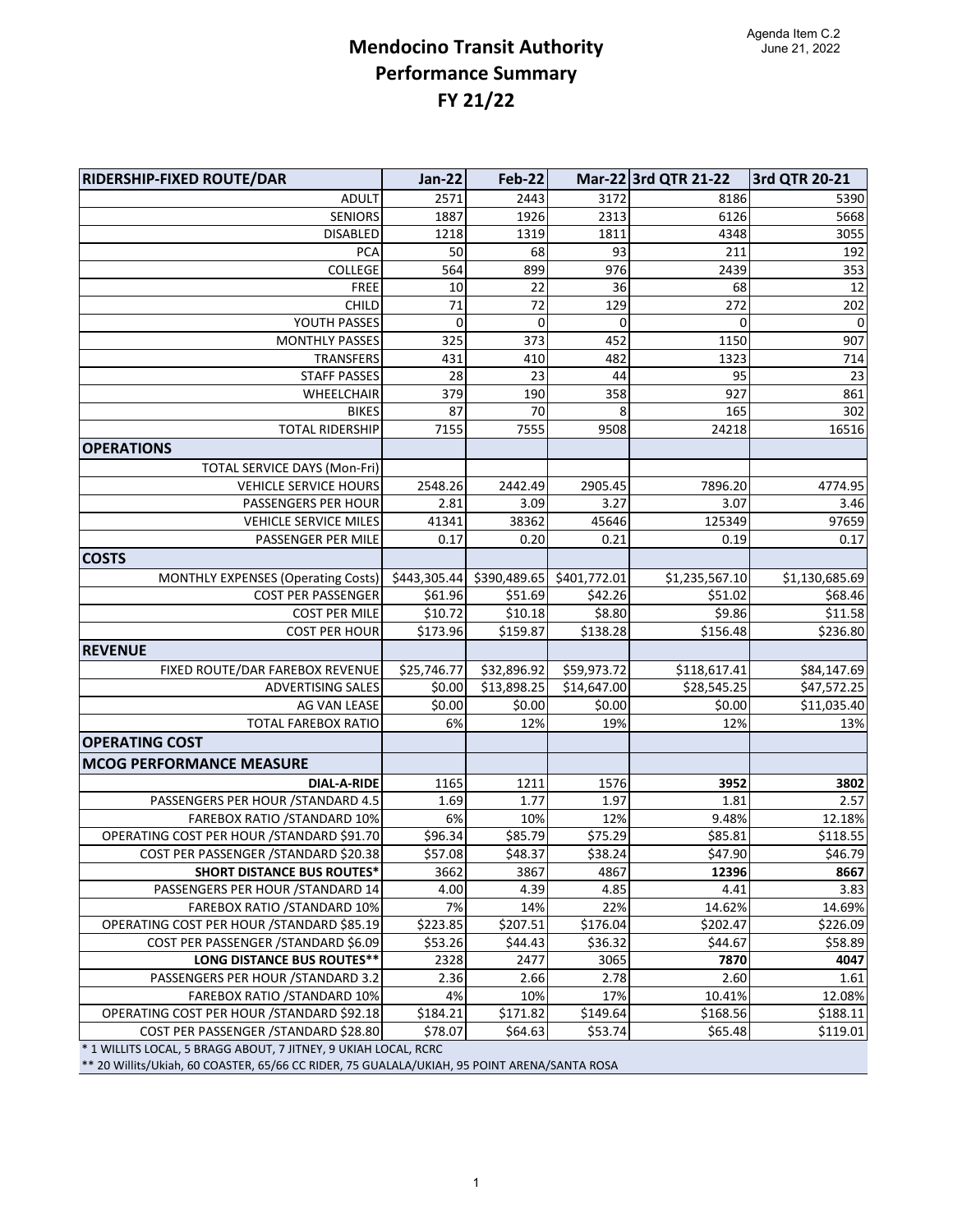## **Mendocino Transit Authority Performance Summary FY 21/22**

| RIDERSHIP-FIXED ROUTE/DAR                                                                                                                                       | <b>Jan-22</b> | <b>Feb-22</b> |              | Mar-22 3rd QTR 21-22 | 3rd QTR 20-21  |
|-----------------------------------------------------------------------------------------------------------------------------------------------------------------|---------------|---------------|--------------|----------------------|----------------|
| <b>ADULT</b>                                                                                                                                                    | 2571          | 2443          | 3172         | 8186                 | 5390           |
| SENIORS                                                                                                                                                         | 1887          | 1926          | 2313         | 6126                 | 5668           |
| <b>DISABLED</b>                                                                                                                                                 | 1218          | 1319          | 1811         | 4348                 | 3055           |
| <b>PCA</b>                                                                                                                                                      | 50            | 68            | 93           | 211                  | 192            |
| COLLEGE                                                                                                                                                         | 564           | 899           | 976          | 2439                 | 353            |
| <b>FREE</b>                                                                                                                                                     | 10            | 22            | 36           | 68                   | 12             |
| CHILD                                                                                                                                                           | 71            | 72            | 129          | 272                  | 202            |
| YOUTH PASSES                                                                                                                                                    | 0             | 0             | 0            | $\mathbf 0$          | $\pmb{0}$      |
| <b>MONTHLY PASSES</b>                                                                                                                                           | 325           | 373           | 452          | 1150                 | 907            |
| TRANSFERS                                                                                                                                                       | 431           | 410           | 482          | 1323                 | 714            |
| <b>STAFF PASSES</b>                                                                                                                                             | 28            | 23            | 44           | 95                   | 23             |
| WHEELCHAIR                                                                                                                                                      | 379           | 190           | 358          | 927                  | 861            |
| <b>BIKES</b>                                                                                                                                                    | 87            | 70            | 8            | 165                  | 302            |
| <b>TOTAL RIDERSHIP</b>                                                                                                                                          | 7155          | 7555          | 9508         | 24218                | 16516          |
| <b>OPERATIONS</b>                                                                                                                                               |               |               |              |                      |                |
| <b>TOTAL SERVICE DAYS (Mon-Fri)</b>                                                                                                                             |               |               |              |                      |                |
| VEHICLE SERVICE HOURS                                                                                                                                           | 2548.26       | 2442.49       | 2905.45      | 7896.20              | 4774.95        |
| PASSENGERS PER HOUR                                                                                                                                             | 2.81          | 3.09          | 3.27         | 3.07                 | 3.46           |
| VEHICLE SERVICE MILES                                                                                                                                           | 41341         | 38362         | 45646        | 125349               | 97659          |
| PASSENGER PER MILE                                                                                                                                              | 0.17          | 0.20          | 0.21         | 0.19                 | 0.17           |
| <b>COSTS</b>                                                                                                                                                    |               |               |              |                      |                |
| MONTHLY EXPENSES (Operating Costs)                                                                                                                              | \$443,305.44  | \$390,489.65  | \$401,772.01 | \$1,235,567.10       | \$1,130,685.69 |
| <b>COST PER PASSENGER</b>                                                                                                                                       | \$61.96       | \$51.69       | \$42.26      | \$51.02              | \$68.46        |
| <b>COST PER MILE</b>                                                                                                                                            | \$10.72       | \$10.18       | \$8.80       | \$9.86               | \$11.58        |
| <b>COST PER HOUR</b>                                                                                                                                            | \$173.96      | \$159.87      | \$138.28     | \$156.48             | \$236.80       |
| <b>REVENUE</b>                                                                                                                                                  |               |               |              |                      |                |
| FIXED ROUTE/DAR FAREBOX REVENUE                                                                                                                                 | \$25,746.77   | \$32,896.92   | \$59,973.72  | \$118,617.41         | \$84,147.69    |
| ADVERTISING SALES                                                                                                                                               | \$0.00        | \$13,898.25   | \$14,647.00  | \$28,545.25          | \$47,572.25    |
| AG VAN LEASE                                                                                                                                                    | \$0.00        | \$0.00        | \$0.00       | \$0.00               | \$11,035.40    |
| <b>TOTAL FAREBOX RATIO</b>                                                                                                                                      | 6%            | 12%           | 19%          | 12%                  | 13%            |
| <b>OPERATING COST</b>                                                                                                                                           |               |               |              |                      |                |
| <b>MCOG PERFORMANCE MEASURE</b>                                                                                                                                 |               |               |              |                      |                |
| <b>DIAL-A-RIDE</b>                                                                                                                                              | 1165          | 1211          | 1576         | 3952                 | 3802           |
| PASSENGERS PER HOUR / STANDARD 4.5                                                                                                                              | 1.69          | 1.77          | 1.97         | 1.81                 | 2.57           |
| FAREBOX RATIO / STANDARD 10%                                                                                                                                    | 6%            | 10%           | 12%          | 9.48%                | 12.18%         |
| OPERATING COST PER HOUR / STANDARD \$91.70                                                                                                                      | \$96.34       | \$85.79       | \$75.29      | \$85.81              | \$118.55       |
| COST PER PASSENGER / STANDARD \$20.38                                                                                                                           | \$57.08       | \$48.37       | \$38.24      | \$47.90              | \$46.79        |
| <b>SHORT DISTANCE BUS ROUTES*</b>                                                                                                                               | 3662          | 3867          | 4867         | 12396                | 8667           |
| PASSENGERS PER HOUR / STANDARD 14                                                                                                                               | 4.00          | 4.39          | 4.85         | 4.41                 | 3.83           |
| <b>FAREBOX RATIO /STANDARD 10%</b>                                                                                                                              | 7%            | 14%           | 22%          | 14.62%               | 14.69%         |
| OPERATING COST PER HOUR / STANDARD \$85.19                                                                                                                      | \$223.85      | \$207.51      | \$176.04     | \$202.47             | \$226.09       |
| COST PER PASSENGER / STANDARD \$6.09                                                                                                                            | \$53.26       | \$44.43       | \$36.32      | \$44.67              | \$58.89        |
| <b>LONG DISTANCE BUS ROUTES**</b>                                                                                                                               | 2328          | 2477          | 3065         | 7870                 | 4047           |
| PASSENGERS PER HOUR / STANDARD 3.2                                                                                                                              | 2.36          | 2.66          | 2.78         | 2.60                 | 1.61           |
| FAREBOX RATIO / STANDARD 10%                                                                                                                                    | 4%            | 10%           | 17%          | 10.41%               | 12.08%         |
| OPERATING COST PER HOUR / STANDARD \$92.18                                                                                                                      | \$184.21      | \$171.82      | \$149.64     | \$168.56             | \$188.11       |
| COST PER PASSENGER / STANDARD \$28.80                                                                                                                           | \$78.07       | \$64.63       | \$53.74      | \$65.48              | \$119.01       |
| * 1 WILLITS LOCAL, 5 BRAGG ABOUT, 7 JITNEY, 9 UKIAH LOCAL, RCRC<br>** 20 Willits/Ukiah, 60 COASTER, 65/66 CC RIDER, 75 GUALALA/UKIAH, 95 POINT ARENA/SANTA ROSA |               |               |              |                      |                |
|                                                                                                                                                                 |               |               |              |                      |                |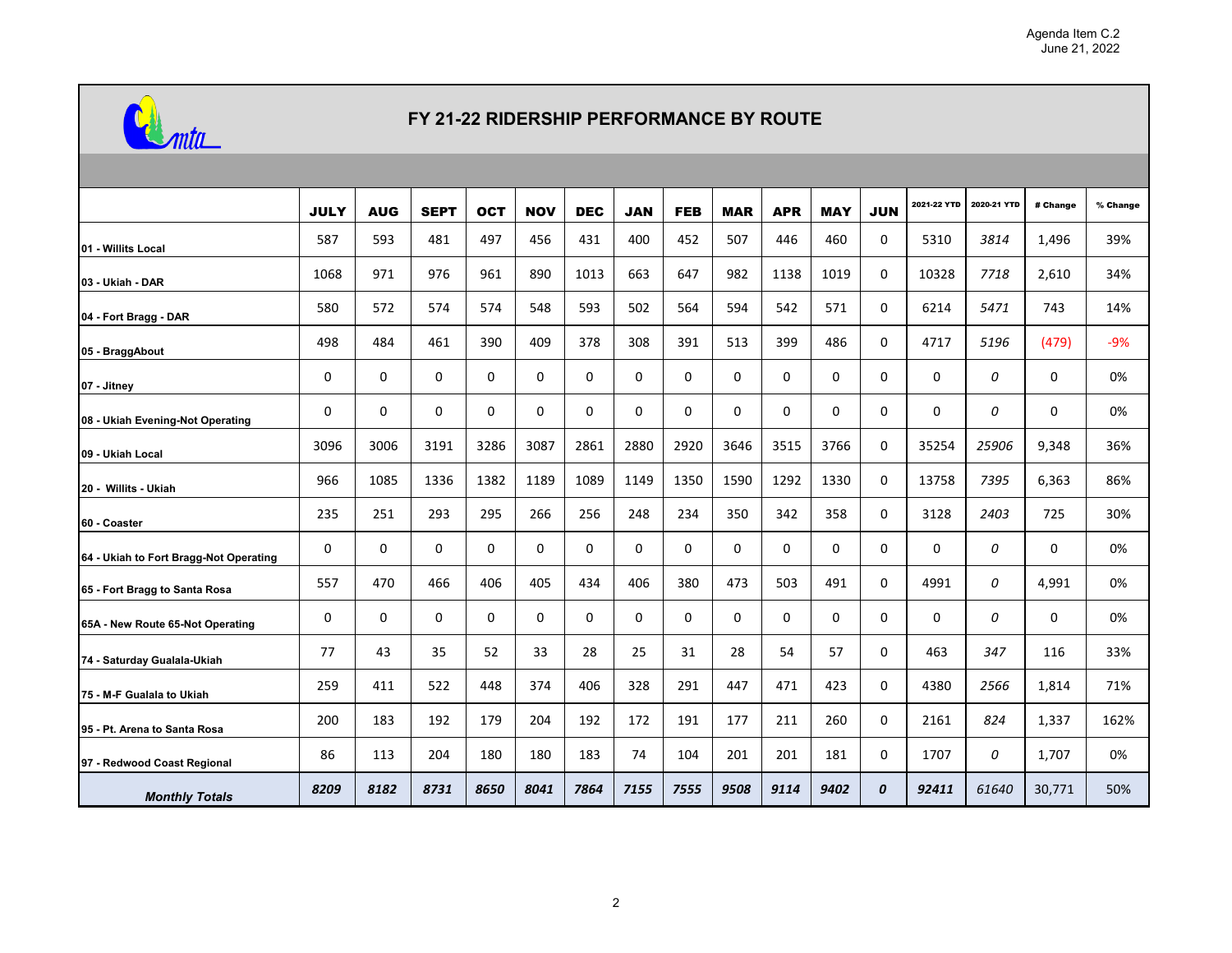

## **FY 21-22 RIDERSHIP PERFORMANCE BY ROUTE**

|                                        | <b>JULY</b> | <b>AUG</b> | <b>SEPT</b>  | <b>OCT</b> | <b>NOV</b> | <b>DEC</b> | <b>JAN</b> | <b>FEB</b> | <b>MAR</b> | <b>APR</b> | <b>MAY</b> | <b>JUN</b> | 2021-22 YTD | 2020-21 YTD | # Change | % Change |
|----------------------------------------|-------------|------------|--------------|------------|------------|------------|------------|------------|------------|------------|------------|------------|-------------|-------------|----------|----------|
| 01 - Willits Local                     | 587         | 593        | 481          | 497        | 456        | 431        | 400        | 452        | 507        | 446        | 460        | 0          | 5310        | 3814        | 1,496    | 39%      |
| 03 - Ukiah - DAR                       | 1068        | 971        | 976          | 961        | 890        | 1013       | 663        | 647        | 982        | 1138       | 1019       | 0          | 10328       | 7718        | 2,610    | 34%      |
| 04 - Fort Bragg - DAR                  | 580         | 572        | 574          | 574        | 548        | 593        | 502        | 564        | 594        | 542        | 571        | 0          | 6214        | 5471        | 743      | 14%      |
| 05 - BraggAbout                        | 498         | 484        | 461          | 390        | 409        | 378        | 308        | 391        | 513        | 399        | 486        | 0          | 4717        | 5196        | (479)    | $-9%$    |
| 07 - Jitney                            | 0           | 0          | $\mathbf{0}$ | $\Omega$   | 0          | $\Omega$   | $\Omega$   | $\Omega$   | 0          | $\Omega$   | 0          | 0          | 0           | 0           | 0        | 0%       |
| 08 - Ukiah Evening-Not Operating       | 0           | 0          | $\mathbf 0$  | 0          | 0          | 0          | 0          | 0          | 0          | 0          | 0          | 0          | 0           | 0           | 0        | 0%       |
| 09 - Ukiah Local                       | 3096        | 3006       | 3191         | 3286       | 3087       | 2861       | 2880       | 2920       | 3646       | 3515       | 3766       | 0          | 35254       | 25906       | 9,348    | 36%      |
| 20 - Willits - Ukiah                   | 966         | 1085       | 1336         | 1382       | 1189       | 1089       | 1149       | 1350       | 1590       | 1292       | 1330       | 0          | 13758       | 7395        | 6,363    | 86%      |
| 60 - Coaster                           | 235         | 251        | 293          | 295        | 266        | 256        | 248        | 234        | 350        | 342        | 358        | 0          | 3128        | 2403        | 725      | 30%      |
| 64 - Ukiah to Fort Bragg-Not Operating | 0           | 0          | 0            | 0          | 0          | 0          | 0          | 0          | 0          | 0          | 0          | 0          | 0           | 0           | 0        | 0%       |
| 65 - Fort Bragg to Santa Rosa          | 557         | 470        | 466          | 406        | 405        | 434        | 406        | 380        | 473        | 503        | 491        | 0          | 4991        | 0           | 4,991    | 0%       |
| 65A - New Route 65-Not Operating       | 0           | 0          | 0            | 0          | 0          | 0          | 0          | 0          | 0          | 0          | 0          | 0          | 0           | 0           | 0        | 0%       |
| 74 - Saturday Gualala-Ukiah            | 77          | 43         | 35           | 52         | 33         | 28         | 25         | 31         | 28         | 54         | 57         | 0          | 463         | 347         | 116      | 33%      |
| 75 - M-F Gualala to Ukiah              | 259         | 411        | 522          | 448        | 374        | 406        | 328        | 291        | 447        | 471        | 423        | 0          | 4380        | 2566        | 1,814    | 71%      |
| 95 - Pt. Arena to Santa Rosa           | 200         | 183        | 192          | 179        | 204        | 192        | 172        | 191        | 177        | 211        | 260        | 0          | 2161        | 824         | 1,337    | 162%     |
| 97 - Redwood Coast Regional            | 86          | 113        | 204          | 180        | 180        | 183        | 74         | 104        | 201        | 201        | 181        | 0          | 1707        | 0           | 1,707    | 0%       |
| <b>Monthly Totals</b>                  | 8209        | 8182       | 8731         | 8650       | 8041       | 7864       | 7155       | 7555       | 9508       | 9114       | 9402       | 0          | 92411       | 61640       | 30,771   | 50%      |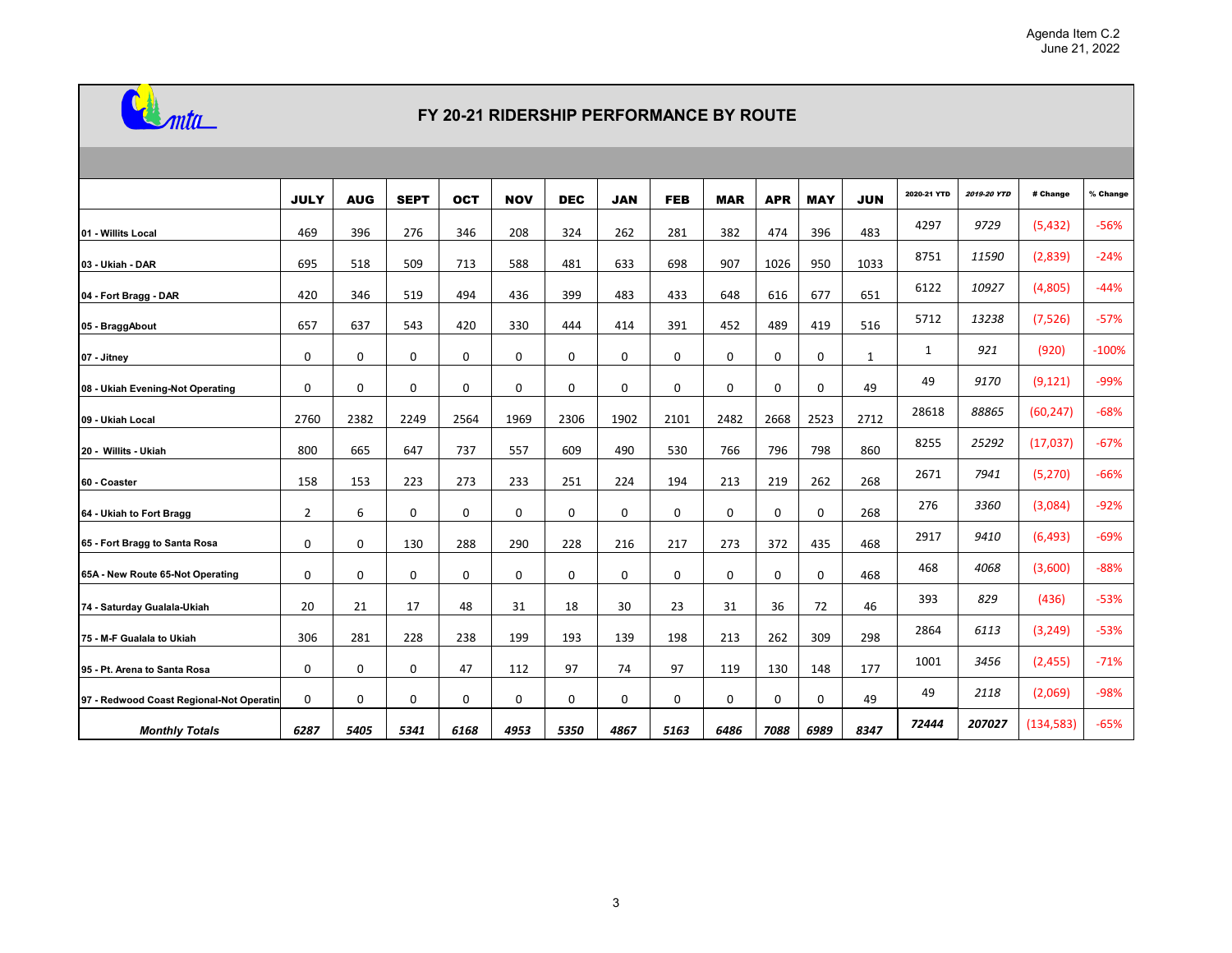

## **FY 20-21 RIDERSHIP PERFORMANCE BY ROUTE**

|                                          | <b>JULY</b>    | <b>AUG</b> | <b>SEPT</b> | <b>OCT</b>  | <b>NOV</b>  | <b>DEC</b>  | <b>JAN</b>  | <b>FEB</b>  | <b>MAR</b> | <b>APR</b>  | <b>MAY</b>  | <b>JUN</b>   | 2020-21 YTD  | 2019-20 YTD | # Change   | % Change |
|------------------------------------------|----------------|------------|-------------|-------------|-------------|-------------|-------------|-------------|------------|-------------|-------------|--------------|--------------|-------------|------------|----------|
| 01 - Willits Local                       | 469            | 396        | 276         | 346         | 208         | 324         | 262         | 281         | 382        | 474         | 396         | 483          | 4297         | 9729        | (5, 432)   | $-56%$   |
| 03 - Ukiah - DAR                         | 695            | 518        | 509         | 713         | 588         | 481         | 633         | 698         | 907        | 1026        | 950         | 1033         | 8751         | 11590       | (2,839)    | $-24%$   |
| 04 - Fort Bragg - DAR                    | 420            | 346        | 519         | 494         | 436         | 399         | 483         | 433         | 648        | 616         | 677         | 651          | 6122         | 10927       | (4,805)    | $-44%$   |
| 05 - BraggAbout                          | 657            | 637        | 543         | 420         | 330         | 444         | 414         | 391         | 452        | 489         | 419         | 516          | 5712         | 13238       | (7, 526)   | $-57%$   |
| 07 - Jitney                              | 0              | 0          | $\mathbf 0$ | $\mathbf 0$ | 0           | 0           | $\mathbf 0$ | 0           | 0          | $\mathbf 0$ | $\mathbf 0$ | $\mathbf{1}$ | $\mathbf{1}$ | 921         | (920)      | $-100%$  |
| 08 - Ukiah Evening-Not Operating         | 0              | 0          | $\mathbf 0$ | $\mathbf 0$ | 0           | $\Omega$    | $\mathbf 0$ | 0           | 0          | $\mathbf 0$ | $\mathbf 0$ | 49           | 49           | 9170        | (9, 121)   | $-99%$   |
| 09 - Ukiah Local                         | 2760           | 2382       | 2249        | 2564        | 1969        | 2306        | 1902        | 2101        | 2482       | 2668        | 2523        | 2712         | 28618        | 88865       | (60, 247)  | $-68%$   |
| 20 - Willits - Ukiah                     | 800            | 665        | 647         | 737         | 557         | 609         | 490         | 530         | 766        | 796         | 798         | 860          | 8255         | 25292       | (17, 037)  | $-67%$   |
| 60 - Coaster                             | 158            | 153        | 223         | 273         | 233         | 251         | 224         | 194         | 213        | 219         | 262         | 268          | 2671         | 7941        | (5, 270)   | $-66%$   |
| 64 - Ukiah to Fort Bragg                 | $\overline{2}$ | 6          | $\mathbf 0$ | $\mathbf 0$ | $\mathbf 0$ | $\mathbf 0$ | $\mathbf 0$ | $\mathbf 0$ | 0          | $\mathbf 0$ | $\mathbf 0$ | 268          | 276          | 3360        | (3,084)    | $-92%$   |
| 65 - Fort Bragg to Santa Rosa            | 0              | 0          | 130         | 288         | 290         | 228         | 216         | 217         | 273        | 372         | 435         | 468          | 2917         | 9410        | (6, 493)   | $-69%$   |
| 65A - New Route 65-Not Operating         | $\mathbf 0$    | 0          | 0           | 0           | 0           | $\mathbf 0$ | $\mathbf 0$ | 0           | 0          | $\mathbf 0$ | $\mathbf 0$ | 468          | 468          | 4068        | (3,600)    | $-88%$   |
| 74 - Saturday Gualala-Ukiah              | 20             | 21         | 17          | 48          | 31          | 18          | 30          | 23          | 31         | 36          | 72          | 46           | 393          | 829         | (436)      | $-53%$   |
| 75 - M-F Gualala to Ukiah                | 306            | 281        | 228         | 238         | 199         | 193         | 139         | 198         | 213        | 262         | 309         | 298          | 2864         | 6113        | (3, 249)   | $-53%$   |
| 95 - Pt. Arena to Santa Rosa             | $\mathbf 0$    | 0          | $\mathbf 0$ | 47          | 112         | 97          | 74          | 97          | 119        | 130         | 148         | 177          | 1001         | 3456        | (2,455)    | $-71%$   |
| 97 - Redwood Coast Regional-Not Operatin | $\mathbf 0$    | 0          | $\mathbf 0$ | $\mathbf 0$ | $\mathbf 0$ | $\mathbf 0$ | $\mathbf 0$ | 0           | 0          | $\mathbf 0$ | $\mathbf 0$ | 49           | 49           | 2118        | (2,069)    | $-98%$   |
| <b>Monthly Totals</b>                    | 6287           | 5405       | 5341        | 6168        | 4953        | 5350        | 4867        | 5163        | 6486       | 7088        | 6989        | 8347         | 72444        | 207027      | (134, 583) | $-65%$   |